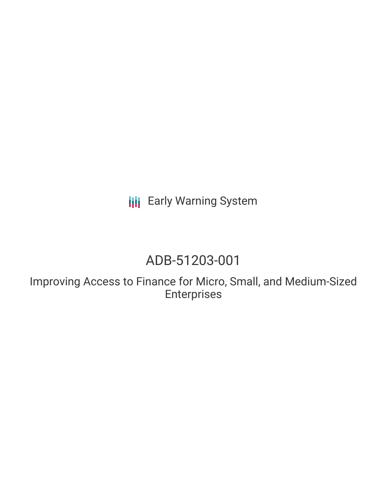**III** Early Warning System

## ADB-51203-001

Improving Access to Finance for Micro, Small, and Medium-Sized Enterprises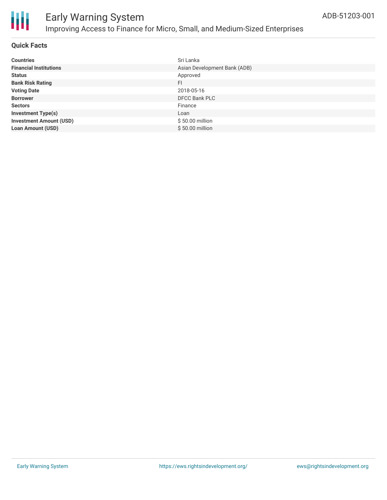

### **Quick Facts**

| <b>Countries</b>               | Sri Lanka                    |
|--------------------------------|------------------------------|
| <b>Financial Institutions</b>  | Asian Development Bank (ADB) |
| <b>Status</b>                  | Approved                     |
| <b>Bank Risk Rating</b>        | FI                           |
| <b>Voting Date</b>             | 2018-05-16                   |
| <b>Borrower</b>                | <b>DFCC Bank PLC</b>         |
| <b>Sectors</b>                 | Finance                      |
| <b>Investment Type(s)</b>      | Loan                         |
| <b>Investment Amount (USD)</b> | \$50.00 million              |
| <b>Loan Amount (USD)</b>       | \$50.00 million              |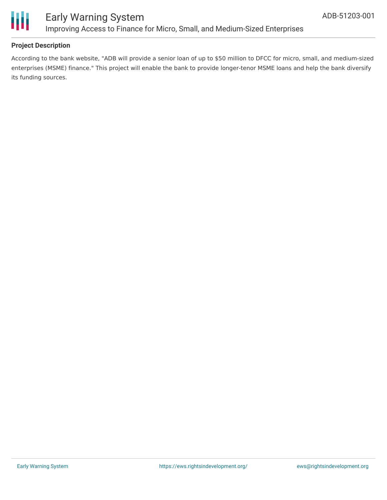

### **Project Description**

According to the bank website, "ADB will provide a senior loan of up to \$50 million to DFCC for micro, small, and medium-sized enterprises (MSME) finance." This project will enable the bank to provide longer-tenor MSME loans and help the bank diversify its funding sources.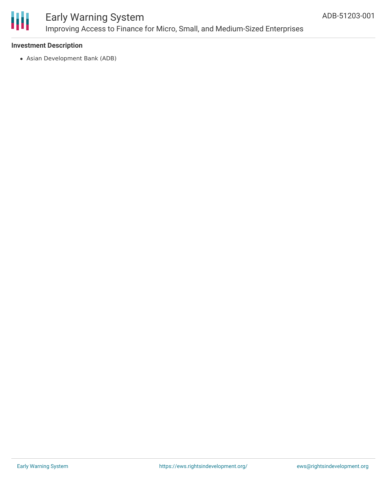

### Early Warning System Improving Access to Finance for Micro, Small, and Medium-Sized Enterprises

### **Investment Description**

Asian Development Bank (ADB)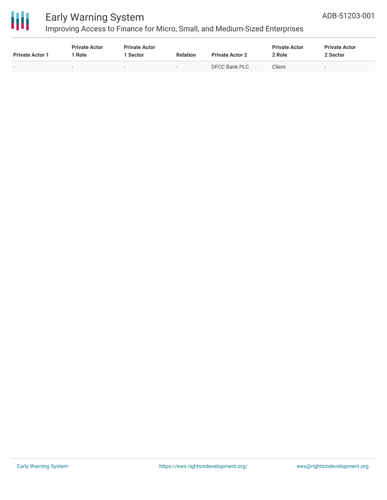

# 冊

### Early Warning System

Improving Access to Finance for Micro, Small, and Medium-Sized Enterprises

| <b>Private Actor 1</b> | <b>Private Actor</b><br>Role | <b>Private Actor</b><br>1 Sector | <b>Relation</b>          | <b>Private Actor 2</b> | <b>Private Actor</b><br>2 Role | <b>Private Actor</b><br>2 Sector |
|------------------------|------------------------------|----------------------------------|--------------------------|------------------------|--------------------------------|----------------------------------|
|                        |                              | $\overline{\phantom{a}}$         | $\overline{\phantom{0}}$ | DFCC Bank PLC          | Client                         | $\overline{\phantom{0}}$         |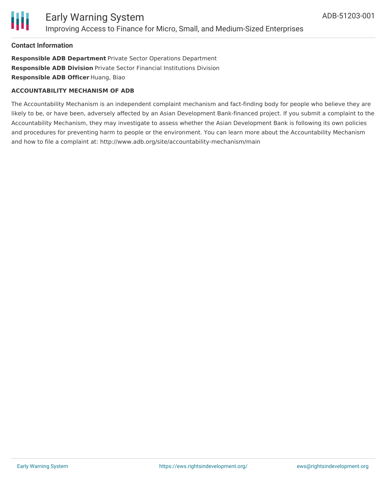

#### **Contact Information**

**Responsible ADB Department** Private Sector Operations Department **Responsible ADB Division** Private Sector Financial Institutions Division **Responsible ADB Officer** Huang, Biao

#### **ACCOUNTABILITY MECHANISM OF ADB**

The Accountability Mechanism is an independent complaint mechanism and fact-finding body for people who believe they are likely to be, or have been, adversely affected by an Asian Development Bank-financed project. If you submit a complaint to the Accountability Mechanism, they may investigate to assess whether the Asian Development Bank is following its own policies and procedures for preventing harm to people or the environment. You can learn more about the Accountability Mechanism and how to file a complaint at: http://www.adb.org/site/accountability-mechanism/main